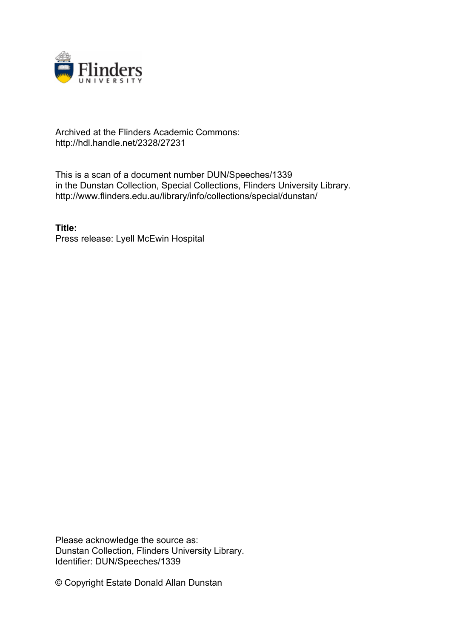

## Archived at the Flinders Academic Commons: http://hdl.handle.net/2328/27231

This is a scan of a document number DUN/Speeches/1339 in the Dunstan Collection, Special Collections, Flinders University Library. http://www.flinders.edu.au/library/info/collections/special/dunstan/

**Title:** Press release: Lyell McEwin Hospital

Please acknowledge the source as: Dunstan Collection, Flinders University Library. Identifier: DUN/Speeches/1339

© Copyright Estate Donald Allan Dunstan